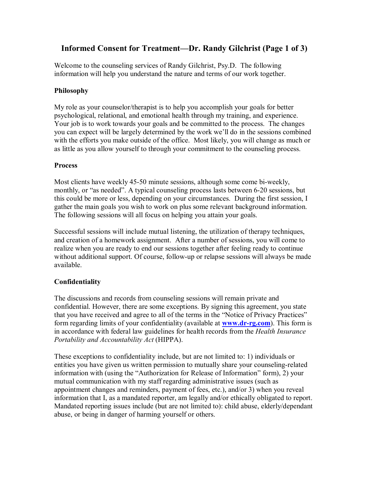# **Informed Consent for Treatment—Dr. Randy Gilchrist (Page 1 of 3)**

Welcome to the counseling services of Randy Gilchrist, Psy.D. The following information will help you understand the nature and terms of our work together.

## **Philosophy**

My role as your counselor/therapist is to help you accomplish your goals for better psychological, relational, and emotional health through my training, and experience. Your job is to work towards your goals and be committed to the process. The changes you can expect will be largely determined by the work we'll do in the sessions combined with the efforts you make outside of the office. Most likely, you will change as much or as little as you allow yourself to through your commitment to the counseling process.

## **Process**

Most clients have weekly 45-50 minute sessions, although some come bi-weekly, monthly, or "as needed". A typical counseling process lasts between 6-20 sessions, but this could be more or less, depending on your circumstances. During the first session, I gather the main goals you wish to work on plus some relevant background information. The following sessions will all focus on helping you attain your goals.

Successful sessions will include mutual listening, the utilization of therapy techniques, and creation of a homework assignment. After a number of sessions, you will come to realize when you are ready to end our sessions together after feeling ready to continue without additional support. Of course, follow-up or relapse sessions will always be made available.

## **Confidentiality**

The discussions and records from counseling sessions will remain private and confidential. However, there are some exceptions. By signing this agreement, you state that you have received and agree to all of the terms in the "Notice of Privacy Practices" form regarding limits of your confidentiality (available at **www.dr-rg.com**). This form is in accordance with federal law guidelines for health records from the *Health Insurance Portability and Accountability Act* (HIPPA).

These exceptions to confidentiality include, but are not limited to: 1) individuals or entities you have given us written permission to mutually share your counseling-related information with (using the "Authorization for Release of Information" form), 2) your mutual communication with my staff regarding administrative issues (such as appointment changes and reminders, payment of fees, etc.), and/or 3) when you reveal information that I, as a mandated reporter, am legally and/or ethically obligated to report. Mandated reporting issues include (but are not limited to): child abuse, elderly/dependant abuse, or being in danger of harming yourself or others.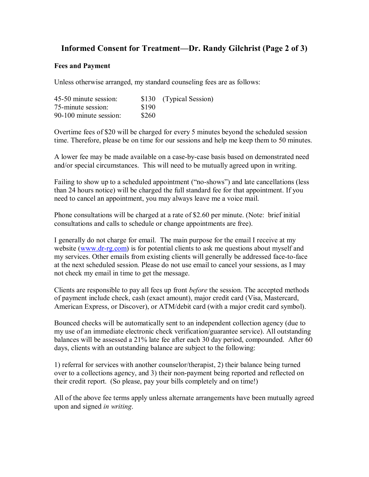## **Informed Consent for Treatment—Dr. Randy Gilchrist (Page 2 of 3)**

#### **Fees and Payment**

Unless otherwise arranged, my standard counseling fees are as follows:

| 45-50 minute session:  |       | \$130 (Typical Session) |
|------------------------|-------|-------------------------|
| 75-minute session:     | \$190 |                         |
| 90-100 minute session: | \$260 |                         |

Overtime fees of \$20 will be charged for every 5 minutes beyond the scheduled session time. Therefore, please be on time for our sessions and help me keep them to 50 minutes.

A lower fee may be made available on a case-by-case basis based on demonstrated need and/or special circumstances. This will need to be mutually agreed upon in writing.

Failing to show up to a scheduled appointment ("no-shows") and late cancellations (less than 24 hours notice) will be charged the full standard fee for that appointment. If you need to cancel an appointment, you may always leave me a voice mail.

Phone consultations will be charged at a rate of \$2.60 per minute. (Note: brief initial consultations and calls to schedule or change appointments are free).

I generally do not charge for email. The main purpose for the email I receive at my website (www.dr-rg.com) is for potential clients to ask me questions about myself and my services. Other emails from existing clients will generally be addressed face-to-face at the next scheduled session. Please do not use email to cancel your sessions, as I may not check my email in time to get the message.

Clients are responsible to pay all fees up front *before* the session. The accepted methods of payment include check, cash (exact amount), major credit card (Visa, Mastercard, American Express, or Discover), or ATM/debit card (with a major credit card symbol).

Bounced checks will be automatically sent to an independent collection agency (due to my use of an immediate electronic check verification/guarantee service). All outstanding balances will be assessed a 21% late fee after each 30 day period, compounded. After 60 days, clients with an outstanding balance are subject to the following:

1) referral for services with another counselor/therapist, 2) their balance being turned over to a collections agency, and 3) their non-payment being reported and reflected on their credit report. (So please, pay your bills completely and on time!)

All of the above fee terms apply unless alternate arrangements have been mutually agreed upon and signed *in writing*.